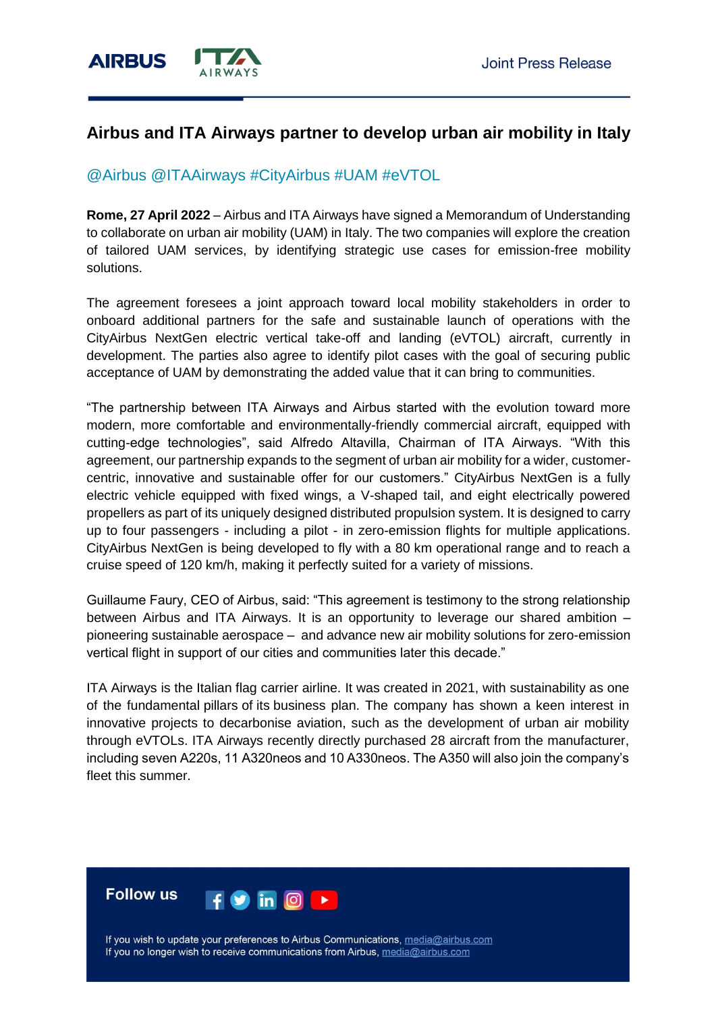

# **Airbus and ITA Airways partner to develop urban air mobility in Italy**

## @Airbus @ITAAirways #CityAirbus #UAM #eVTOL

**Rome, 27 April 2022** – Airbus and ITA Airways have signed a Memorandum of Understanding to collaborate on urban air mobility (UAM) in Italy. The two companies will explore the creation of tailored UAM services, by identifying strategic use cases for emission-free mobility solutions.

The agreement foresees a joint approach toward local mobility stakeholders in order to onboard additional partners for the safe and sustainable launch of operations with the CityAirbus NextGen electric vertical take-off and landing (eVTOL) aircraft, currently in development. The parties also agree to identify pilot cases with the goal of securing public acceptance of UAM by demonstrating the added value that it can bring to communities.

"The partnership between ITA Airways and Airbus started with the evolution toward more modern, more comfortable and environmentally-friendly commercial aircraft, equipped with cutting-edge technologies", said Alfredo Altavilla, Chairman of ITA Airways. "With this agreement, our partnership expands to the segment of urban air mobility for a wider, customercentric, innovative and sustainable offer for our customers." CityAirbus NextGen is a fully electric vehicle equipped with fixed wings, a V-shaped tail, and eight electrically powered propellers as part of its uniquely designed distributed propulsion system. It is designed to carry up to four passengers - including a pilot - in zero-emission flights for multiple applications. CityAirbus NextGen is being developed to fly with a 80 km operational range and to reach a cruise speed of 120 km/h, making it perfectly suited for a variety of missions.

Guillaume Faury, CEO of Airbus, said: "This agreement is testimony to the strong relationship between Airbus and ITA Airways. It is an opportunity to leverage our shared ambition – pioneering sustainable aerospace – and advance new air mobility solutions for zero-emission vertical flight in support of our cities and communities later this decade."

ITA Airways is the Italian flag carrier airline. It was created in 2021, with sustainability as one of the fundamental pillars of its business plan. The company has shown a keen interest in innovative projects to decarbonise aviation, such as the development of urban air mobility through eVTOLs. ITA Airways recently directly purchased 28 aircraft from the manufacturer, including seven A220s, 11 A320neos and 10 A330neos. The A350 will also join the company's fleet this summer.



If you wish to update your preferences to Airbus Communications, media@airbus.com If you no longer wish to receive communications from Airbus, media@airbus.com